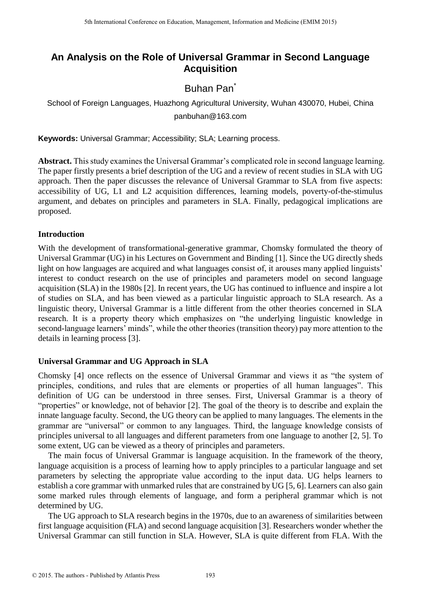# **An Analysis on the Role of Universal Grammar in Second Language Acquisition**

# Buhan Pan<sup>\*</sup>

School of Foreign Languages, Huazhong Agricultural University, Wuhan 430070, Hubei, China panbuhan@163.com

**Keywords:** Universal Grammar; Accessibility; SLA; Learning process.

**Abstract.** This study examines the Universal Grammar's complicated role in second language learning. The paper firstly presents a brief description of the UG and a review of recent studies in SLA with UG approach. Then the paper discusses the relevance of Universal Grammar to SLA from five aspects: accessibility of UG, L1 and L2 acquisition differences, learning models, poverty-of-the-stimulus argument, and debates on principles and parameters in SLA. Finally, pedagogical implications are proposed.

# **Introduction**

With the development of transformational-generative grammar, Chomsky formulated the theory of Universal Grammar (UG) in his Lectures on Government and Binding [1]. Since the UG directly sheds light on how languages are acquired and what languages consist of, it arouses many applied linguists' interest to conduct research on the use of principles and parameters model on second language acquisition (SLA) in the 1980s [2]. In recent years, the UG has continued to influence and inspire a lot of studies on SLA, and has been viewed as a particular linguistic approach to SLA research. As a linguistic theory, Universal Grammar is a little different from the other theories concerned in SLA research. It is a property theory which emphasizes on "the underlying linguistic knowledge in second-language learners' minds", while the other theories (transition theory) pay more attention to the details in learning process [3].

# **Universal Grammar and UG Approach in SLA**

Chomsky [4] once reflects on the essence of Universal Grammar and views it as "the system of principles, conditions, and rules that are elements or properties of all human languages". This definition of UG can be understood in three senses. First, Universal Grammar is a theory of "properties" or knowledge, not of behavior [2]. The goal of the theory is to describe and explain the innate language faculty. Second, the UG theory can be applied to many languages. The elements in the grammar are "universal" or common to any languages. Third, the language knowledge consists of principles universal to all languages and different parameters from one language to another [2, 5]. To some extent, UG can be viewed as a theory of principles and parameters.

The main focus of Universal Grammar is language acquisition. In the framework of the theory, language acquisition is a process of learning how to apply principles to a particular language and set parameters by selecting the appropriate value according to the input data. UG helps learners to establish a core grammar with unmarked rules that are constrained by UG [5, 6]. Learners can also gain some marked rules through elements of language, and form a peripheral grammar which is not determined by UG.

The UG approach to SLA research begins in the 1970s, due to an awareness of similarities between first language acquisition (FLA) and second language acquisition [3]. Researchers wonder whether the Universal Grammar can still function in SLA. However, SLA is quite different from FLA. With the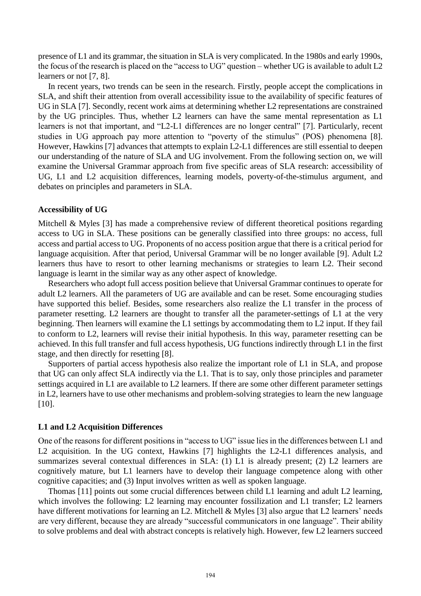presence of L1 and its grammar, the situation in SLA is very complicated. In the 1980s and early 1990s, the focus of the research is placed on the "access to UG" question – whether UG is available to adult L2 learners or not [7, 8].

In recent years, two trends can be seen in the research. Firstly, people accept the complications in SLA, and shift their attention from overall accessibility issue to the availability of specific features of UG in SLA [7]. Secondly, recent work aims at determining whether L2 representations are constrained by the UG principles. Thus, whether L2 learners can have the same mental representation as L1 learners is not that important, and "L2-L1 differences are no longer central" [7]. Particularly, recent studies in UG approach pay more attention to "poverty of the stimulus" (POS) phenomena [8]. However, Hawkins [7] advances that attempts to explain L2-L1 differences are still essential to deepen our understanding of the nature of SLA and UG involvement. From the following section on, we will examine the Universal Grammar approach from five specific areas of SLA research: accessibility of UG, L1 and L2 acquisition differences, learning models, poverty-of-the-stimulus argument, and debates on principles and parameters in SLA.

## **Accessibility of UG**

Mitchell & Myles [3] has made a comprehensive review of different theoretical positions regarding access to UG in SLA. These positions can be generally classified into three groups: no access, full access and partial access to UG. Proponents of no access position argue that there is a critical period for language acquisition. After that period, Universal Grammar will be no longer available [9]. Adult L2 learners thus have to resort to other learning mechanisms or strategies to learn L2. Their second language is learnt in the similar way as any other aspect of knowledge.

Researchers who adopt full access position believe that Universal Grammar continues to operate for adult L2 learners. All the parameters of UG are available and can be reset. Some encouraging studies have supported this belief. Besides, some researchers also realize the L1 transfer in the process of parameter resetting. L2 learners are thought to transfer all the parameter-settings of L1 at the very beginning. Then learners will examine the L1 settings by accommodating them to L2 input. If they fail to conform to L2, learners will revise their initial hypothesis. In this way, parameter resetting can be achieved. In this full transfer and full access hypothesis, UG functions indirectly through L1 in the first stage, and then directly for resetting [8].

Supporters of partial access hypothesis also realize the important role of L1 in SLA, and propose that UG can only affect SLA indirectly via the L1. That is to say, only those principles and parameter settings acquired in L1 are available to L2 learners. If there are some other different parameter settings in L2, learners have to use other mechanisms and problem-solving strategies to learn the new language [10].

#### **L1 and L2 Acquisition Differences**

One of the reasons for different positions in "access to UG" issue lies in the differences between L1 and L2 acquisition. In the UG context, Hawkins [7] highlights the L2-L1 differences analysis, and summarizes several contextual differences in SLA: (1) L1 is already present; (2) L2 learners are cognitively mature, but L1 learners have to develop their language competence along with other cognitive capacities; and (3) Input involves written as well as spoken language.

Thomas [11] points out some crucial differences between child L1 learning and adult L2 learning, which involves the following: L2 learning may encounter fossilization and L1 transfer; L2 learners have different motivations for learning an L2. Mitchell & Myles [3] also argue that L2 learners' needs are very different, because they are already "successful communicators in one language". Their ability to solve problems and deal with abstract concepts is relatively high. However, few L2 learners succeed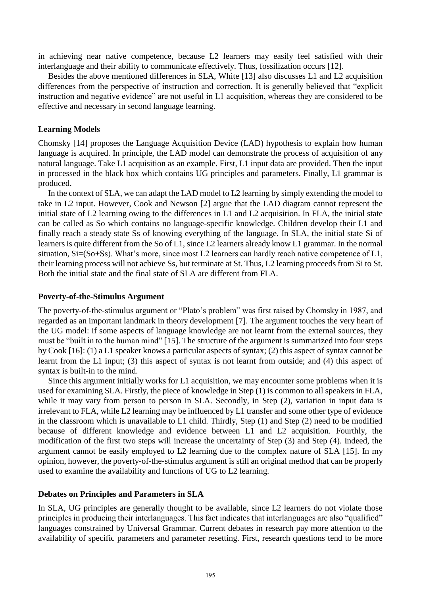in achieving near native competence, because L2 learners may easily feel satisfied with their interlanguage and their ability to communicate effectively. Thus, fossilization occurs [12].

Besides the above mentioned differences in SLA, White [13] also discusses L1 and L2 acquisition differences from the perspective of instruction and correction. It is generally believed that "explicit instruction and negative evidence" are not useful in L1 acquisition, whereas they are considered to be effective and necessary in second language learning.

## **Learning Models**

Chomsky [14] proposes the Language Acquisition Device (LAD) hypothesis to explain how human language is acquired. In principle, the LAD model can demonstrate the process of acquisition of any natural language. Take L1 acquisition as an example. First, L1 input data are provided. Then the input in processed in the black box which contains UG principles and parameters. Finally, L1 grammar is produced.

In the context of SLA, we can adapt the LAD model to L2 learning by simply extending the model to take in L2 input. However, Cook and Newson [2] argue that the LAD diagram cannot represent the initial state of L2 learning owing to the differences in L1 and L2 acquisition. In FLA, the initial state can be called as So which contains no language-specific knowledge. Children develop their L1 and finally reach a steady state Ss of knowing everything of the language. In SLA, the initial state Si of learners is quite different from the So of L1, since L2 learners already know L1 grammar. In the normal situation, Si=(So+Ss). What's more, since most L2 learners can hardly reach native competence of L1, their learning process will not achieve Ss, but terminate at St. Thus, L2 learning proceeds from Si to St. Both the initial state and the final state of SLA are different from FLA.

#### **Poverty-of-the-Stimulus Argument**

The poverty-of-the-stimulus argument or "Plato's problem" was first raised by Chomsky in 1987, and regarded as an important landmark in theory development [7]. The argument touches the very heart of the UG model: if some aspects of language knowledge are not learnt from the external sources, they must be "built in to the human mind" [15]. The structure of the argument is summarized into four steps by Cook [16]: (1) a L1 speaker knows a particular aspects of syntax; (2) this aspect of syntax cannot be learnt from the L1 input; (3) this aspect of syntax is not learnt from outside; and (4) this aspect of syntax is built-in to the mind.

Since this argument initially works for L1 acquisition, we may encounter some problems when it is used for examining SLA. Firstly, the piece of knowledge in Step (1) is common to all speakers in FLA, while it may vary from person to person in SLA. Secondly, in Step (2), variation in input data is irrelevant to FLA, while L2 learning may be influenced by L1 transfer and some other type of evidence in the classroom which is unavailable to L1 child. Thirdly, Step (1) and Step (2) need to be modified because of different knowledge and evidence between L1 and L2 acquisition. Fourthly, the modification of the first two steps will increase the uncertainty of Step (3) and Step (4). Indeed, the argument cannot be easily employed to L2 learning due to the complex nature of SLA [15]. In my opinion, however, the poverty-of-the-stimulus argument is still an original method that can be properly used to examine the availability and functions of UG to L2 learning.

## **Debates on Principles and Parameters in SLA**

In SLA, UG principles are generally thought to be available, since L2 learners do not violate those principles in producing their interlanguages. This fact indicates that interlanguages are also "qualified" languages constrained by Universal Grammar. Current debates in research pay more attention to the availability of specific parameters and parameter resetting. First, research questions tend to be more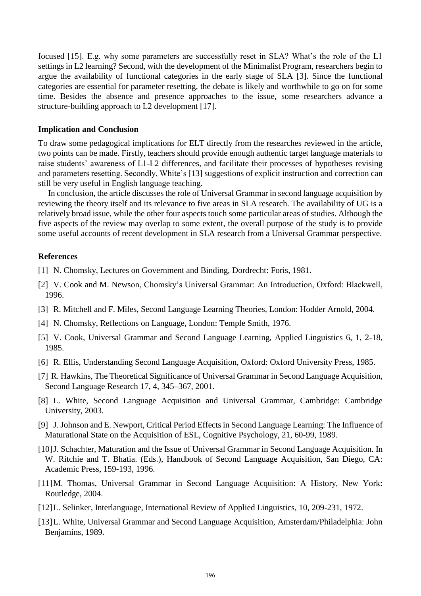focused [15]. E.g. why some parameters are successfully reset in SLA? What's the role of the L1 settings in L2 learning? Second, with the development of the Minimalist Program, researchers begin to argue the availability of functional categories in the early stage of SLA [3]. Since the functional categories are essential for parameter resetting, the debate is likely and worthwhile to go on for some time. Besides the absence and presence approaches to the issue, some researchers advance a structure-building approach to L2 development [17].

#### **Implication and Conclusion**

To draw some pedagogical implications for ELT directly from the researches reviewed in the article, two points can be made. Firstly, teachers should provide enough authentic target language materials to raise students' awareness of L1-L2 differences, and facilitate their processes of hypotheses revising and parameters resetting. Secondly, White's [13] suggestions of explicit instruction and correction can still be very useful in English language teaching.

In conclusion, the article discusses the role of Universal Grammar in second language acquisition by reviewing the theory itself and its relevance to five areas in SLA research. The availability of UG is a relatively broad issue, while the other four aspects touch some particular areas of studies. Although the five aspects of the review may overlap to some extent, the overall purpose of the study is to provide some useful accounts of recent development in SLA research from a Universal Grammar perspective.

## **References**

- [1] N. Chomsky, Lectures on Government and Binding, Dordrecht: Foris, 1981.
- [2] V. Cook and M. Newson, Chomsky's Universal Grammar: An Introduction, Oxford: Blackwell, 1996.
- [3] R. Mitchell and F. Miles, Second Language Learning Theories, London: Hodder Arnold, 2004.
- [4] N. Chomsky, Reflections on Language, London: Temple Smith, 1976.
- [5] V. Cook, Universal Grammar and Second Language Learning, Applied Linguistics 6, 1, 2-18, 1985.
- [6] R. Ellis, Understanding Second Language Acquisition, Oxford: Oxford University Press, 1985.
- [7] R. Hawkins, The Theoretical Significance of Universal Grammar in Second Language Acquisition, Second Language Research 17, 4, 345–367, 2001.
- [8] L. White, Second Language Acquisition and Universal Grammar, Cambridge: Cambridge University, 2003.
- [9] J. Johnson and E. Newport, Critical Period Effects in Second Language Learning: The Influence of Maturational State on the Acquisition of ESL, Cognitive Psychology, 21, 60-99, 1989.
- [10] J. Schachter, Maturation and the Issue of Universal Grammar in Second Language Acquisition. In W. Ritchie and T. Bhatia. (Eds.), Handbook of Second Language Acquisition, San Diego, CA: Academic Press, 159-193, 1996.
- [11] M. Thomas, Universal Grammar in Second Language Acquisition: A History, New York: Routledge, 2004.
- [12] L. Selinker, Interlanguage, International Review of Applied Linguistics, 10, 209-231, 1972.
- [13] L. White, Universal Grammar and Second Language Acquisition, Amsterdam/Philadelphia: John Benjamins, 1989.